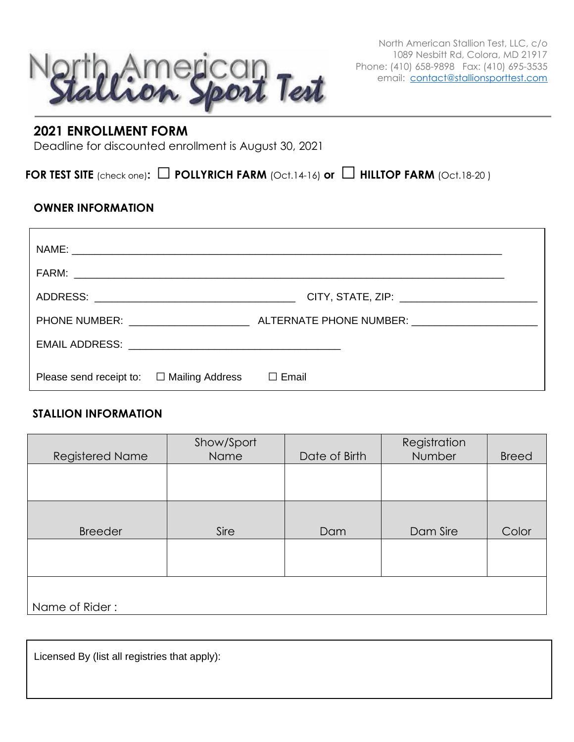

**2021 ENROLLMENT FORM**

Deadline for discounted enrollment is August 30, 2021

**FOR TEST SITE** (check one)**:** □**POLLYRICH FARM** (Oct.14-16) **or** □ **HILLTOP FARM** (Oct.18-20 )

## **OWNER INFORMATION**

| Please send receipt to: $\square$ Mailing Address | Email<br>$\perp$ |
|---------------------------------------------------|------------------|

## **STALLION INFORMATION**

| Registered Name | Show/Sport<br>Name | Date of Birth | Registration<br><b>Number</b> | <b>Breed</b> |
|-----------------|--------------------|---------------|-------------------------------|--------------|
|                 |                    |               |                               |              |
| <b>Breeder</b>  | Sire               | Dam           | Dam Sire                      | Color        |
|                 |                    |               |                               |              |
| Name of Rider:  |                    |               |                               |              |

Licensed By (list all registries that apply):

North American Stallion Test, LLC, c/o 1089 Nesbitt Rd, Colora, MD 21917 Phone: (410) 658-9898 Fax: (410) 695-3535 email: [contact@stallionsporttest.com](mailto:contact@stallionsporttest.com)